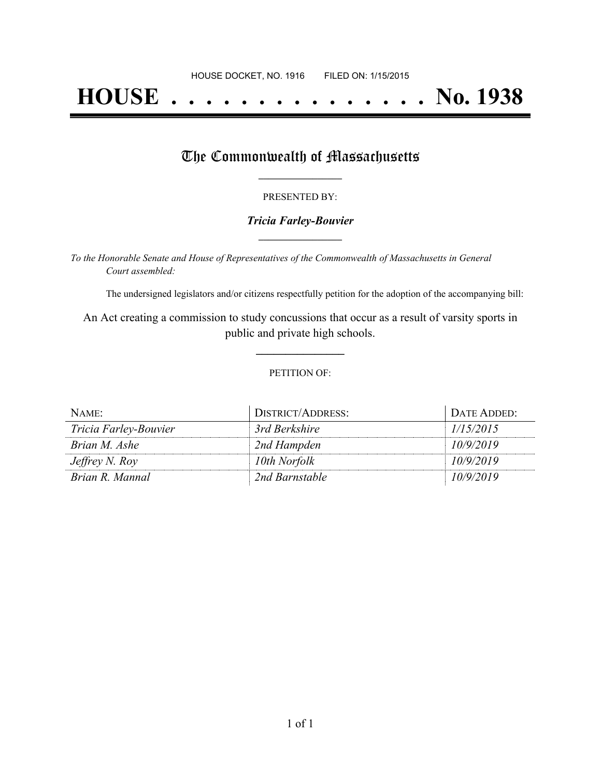# **HOUSE . . . . . . . . . . . . . . . No. 1938**

### The Commonwealth of Massachusetts

#### PRESENTED BY:

#### *Tricia Farley-Bouvier* **\_\_\_\_\_\_\_\_\_\_\_\_\_\_\_\_\_**

*To the Honorable Senate and House of Representatives of the Commonwealth of Massachusetts in General Court assembled:*

The undersigned legislators and/or citizens respectfully petition for the adoption of the accompanying bill:

An Act creating a commission to study concussions that occur as a result of varsity sports in public and private high schools.

**\_\_\_\_\_\_\_\_\_\_\_\_\_\_\_**

#### PETITION OF:

| NAME:                 | DISTRICT/ADDRESS: | DATE ADDED: |
|-----------------------|-------------------|-------------|
| Tricia Farley-Bouvier | 3rd Berkshire     | 1/15/2015   |
| Brian M. Ashe         | 2nd Hampden       | 10/9/2019   |
| Jeffrey N. Roy        | 10th Norfolk      | 10/9/2019   |
| Brian R. Mannal       | 2nd Barnstable    | 10/9/2019   |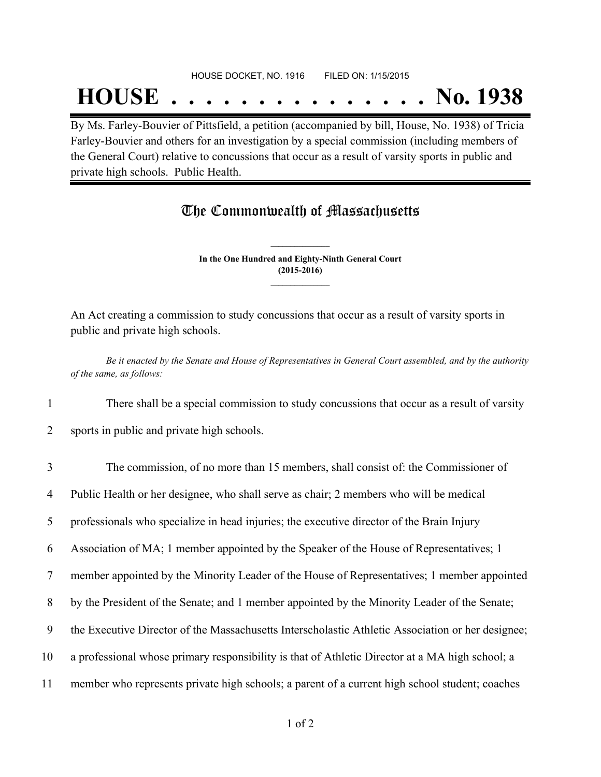## **HOUSE . . . . . . . . . . . . . . . No. 1938**

By Ms. Farley-Bouvier of Pittsfield, a petition (accompanied by bill, House, No. 1938) of Tricia Farley-Bouvier and others for an investigation by a special commission (including members of the General Court) relative to concussions that occur as a result of varsity sports in public and private high schools. Public Health.

## The Commonwealth of Massachusetts

**In the One Hundred and Eighty-Ninth General Court (2015-2016) \_\_\_\_\_\_\_\_\_\_\_\_\_\_\_**

**\_\_\_\_\_\_\_\_\_\_\_\_\_\_\_**

An Act creating a commission to study concussions that occur as a result of varsity sports in public and private high schools.

Be it enacted by the Senate and House of Representatives in General Court assembled, and by the authority *of the same, as follows:*

1 There shall be a special commission to study concussions that occur as a result of varsity

2 sports in public and private high schools.

| $\overline{3}$ | The commission, of no more than 15 members, shall consist of: the Commissioner of                 |
|----------------|---------------------------------------------------------------------------------------------------|
| 4              | Public Health or her designee, who shall serve as chair; 2 members who will be medical            |
| 5              | professionals who specialize in head injuries; the executive director of the Brain Injury         |
| 6              | Association of MA; 1 member appointed by the Speaker of the House of Representatives; 1           |
| 7              | member appointed by the Minority Leader of the House of Representatives; 1 member appointed       |
| 8              | by the President of the Senate; and 1 member appointed by the Minority Leader of the Senate;      |
| 9              | the Executive Director of the Massachusetts Interscholastic Athletic Association or her designee; |
| 10             | a professional whose primary responsibility is that of Athletic Director at a MA high school; a   |
| 11             | member who represents private high schools; a parent of a current high school student; coaches    |